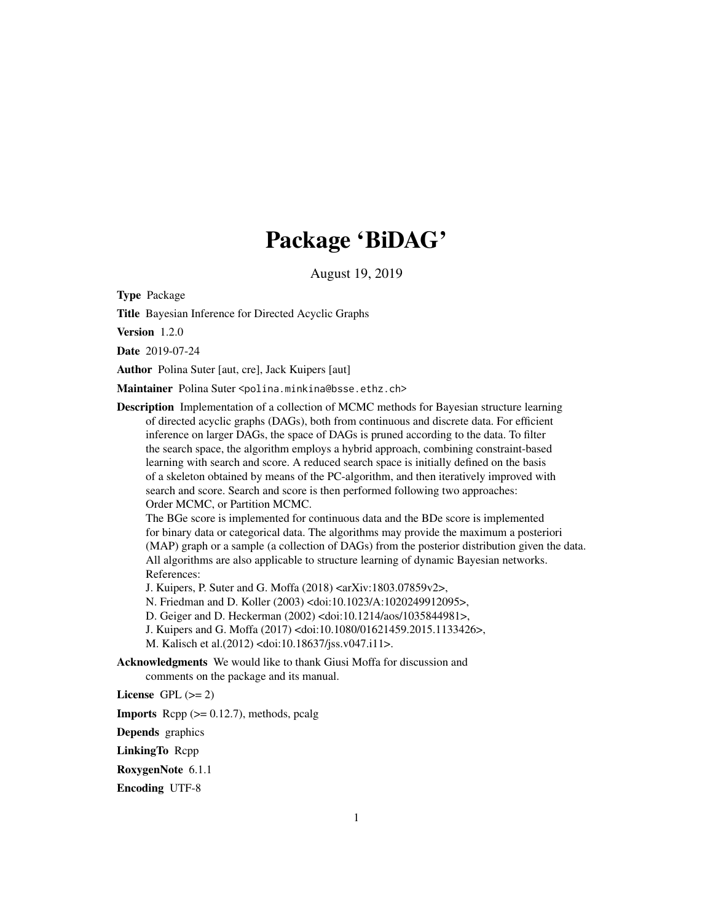# Package 'BiDAG'

August 19, 2019

<span id="page-0-0"></span>Type Package

Title Bayesian Inference for Directed Acyclic Graphs

Version 1.2.0

Date 2019-07-24

Author Polina Suter [aut, cre], Jack Kuipers [aut]

Maintainer Polina Suter <polina.minkina@bsse.ethz.ch>

Description Implementation of a collection of MCMC methods for Bayesian structure learning of directed acyclic graphs (DAGs), both from continuous and discrete data. For efficient inference on larger DAGs, the space of DAGs is pruned according to the data. To filter the search space, the algorithm employs a hybrid approach, combining constraint-based learning with search and score. A reduced search space is initially defined on the basis of a skeleton obtained by means of the PC-algorithm, and then iteratively improved with search and score. Search and score is then performed following two approaches: Order MCMC, or Partition MCMC.

The BGe score is implemented for continuous data and the BDe score is implemented for binary data or categorical data. The algorithms may provide the maximum a posteriori (MAP) graph or a sample (a collection of DAGs) from the posterior distribution given the data. All algorithms are also applicable to structure learning of dynamic Bayesian networks. References:

J. Kuipers, P. Suter and G. Moffa (2018) <arXiv:1803.07859v2>,

N. Friedman and D. Koller (2003) <doi:10.1023/A:1020249912095>,

D. Geiger and D. Heckerman (2002) <doi:10.1214/aos/1035844981>,

J. Kuipers and G. Moffa (2017) <doi:10.1080/01621459.2015.1133426>,

M. Kalisch et al.(2012) <doi:10.18637/jss.v047.i11>.

Acknowledgments We would like to thank Giusi Moffa for discussion and comments on the package and its manual.

License GPL  $(>= 2)$ 

**Imports** Rcpp  $(>= 0.12.7)$ , methods, pcalg

Depends graphics

LinkingTo Rcpp

RoxygenNote 6.1.1

Encoding UTF-8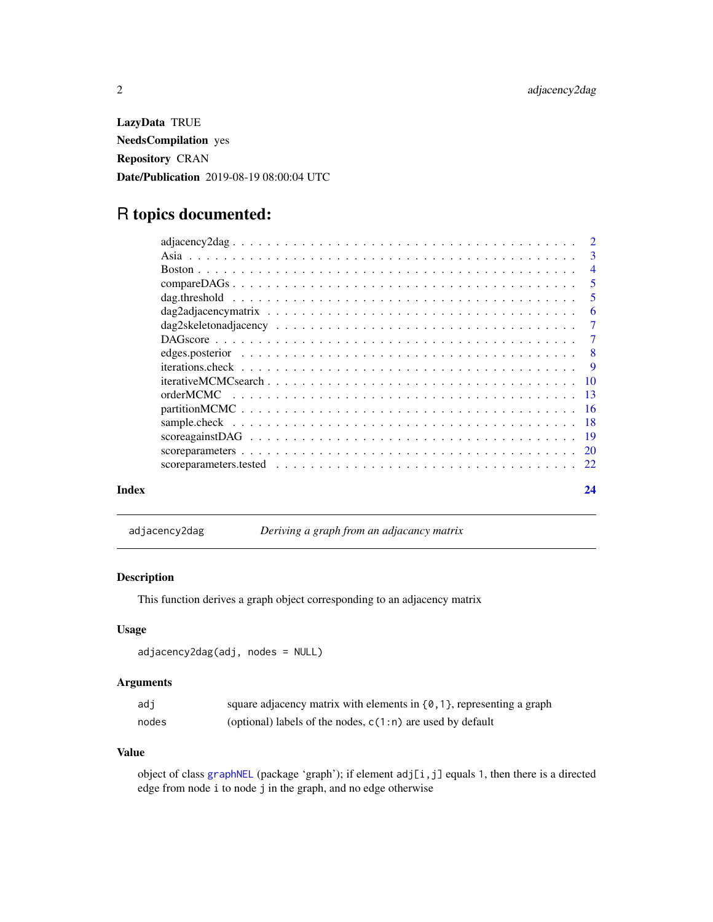<span id="page-1-0"></span>LazyData TRUE NeedsCompilation yes Repository CRAN Date/Publication 2019-08-19 08:00:04 UTC

# R topics documented:

|       |                                                                                                                                 | -6 |
|-------|---------------------------------------------------------------------------------------------------------------------------------|----|
|       |                                                                                                                                 |    |
|       |                                                                                                                                 |    |
|       |                                                                                                                                 |    |
|       |                                                                                                                                 |    |
|       |                                                                                                                                 |    |
|       |                                                                                                                                 |    |
|       |                                                                                                                                 |    |
|       |                                                                                                                                 |    |
|       | $score against DAG \dots \dots \dots \dots \dots \dots \dots \dots \dots \dots \dots \dots \dots \dots \dots \dots \dots \dots$ |    |
|       |                                                                                                                                 |    |
|       |                                                                                                                                 |    |
| Index |                                                                                                                                 | 24 |

adjacency2dag *Deriving a graph from an adjacancy matrix*

# Description

This function derives a graph object corresponding to an adjacency matrix

# Usage

```
adjacency2dag(adj, nodes = NULL)
```
# Arguments

| adi   | square adjacency matrix with elements in $\{0, 1\}$ , representing a graph |
|-------|----------------------------------------------------------------------------|
| nodes | (optional) labels of the nodes, $c(1:n)$ are used by default               |

# Value

object of class [graphNEL](#page-0-0) (package 'graph'); if element adj[i,j] equals 1, then there is a directed edge from node i to node j in the graph, and no edge otherwise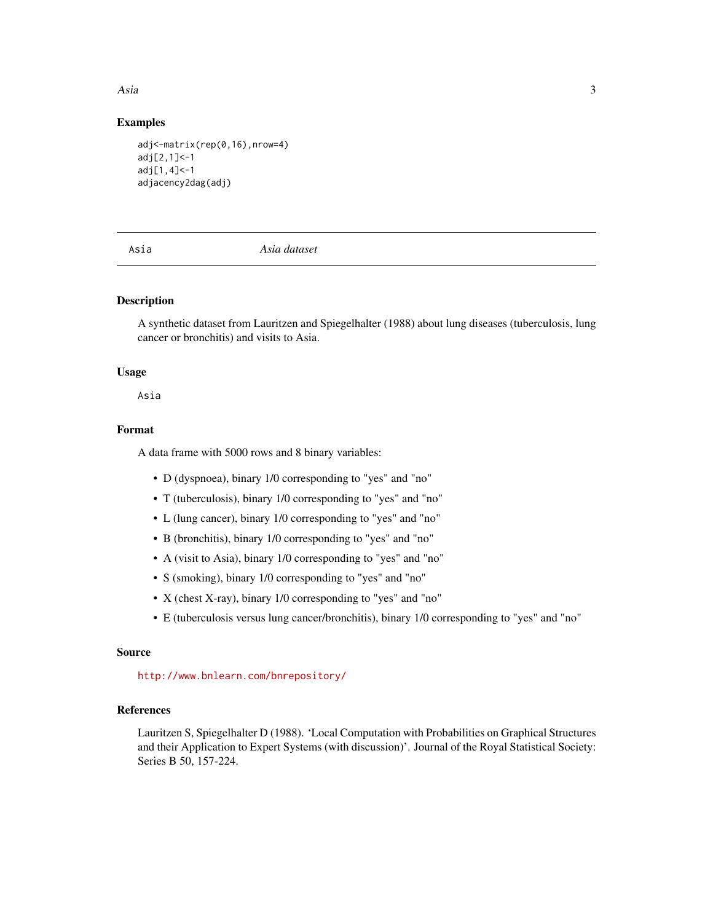<span id="page-2-0"></span>Asia 2008, 2008, 2009, 2009, 2009, 2009, 2009, 2009, 2009, 2009, 2009, 2009, 2009, 2009, 2009, 2009, 2009, 200

### Examples

```
adj<-matrix(rep(0,16),nrow=4)
adj[2,1]<-1
adj[1,4]<-1
adjacency2dag(adj)
```
Asia *Asia dataset*

# Description

A synthetic dataset from Lauritzen and Spiegelhalter (1988) about lung diseases (tuberculosis, lung cancer or bronchitis) and visits to Asia.

# Usage

Asia

#### Format

A data frame with 5000 rows and 8 binary variables:

- D (dyspnoea), binary 1/0 corresponding to "yes" and "no"
- T (tuberculosis), binary 1/0 corresponding to "yes" and "no"
- L (lung cancer), binary 1/0 corresponding to "yes" and "no"
- B (bronchitis), binary 1/0 corresponding to "yes" and "no"
- A (visit to Asia), binary 1/0 corresponding to "yes" and "no"
- S (smoking), binary 1/0 corresponding to "yes" and "no"
- X (chest X-ray), binary 1/0 corresponding to "yes" and "no"
- E (tuberculosis versus lung cancer/bronchitis), binary 1/0 corresponding to "yes" and "no"

# Source

<http://www.bnlearn.com/bnrepository/>

# References

Lauritzen S, Spiegelhalter D (1988). 'Local Computation with Probabilities on Graphical Structures and their Application to Expert Systems (with discussion)'. Journal of the Royal Statistical Society: Series B 50, 157-224.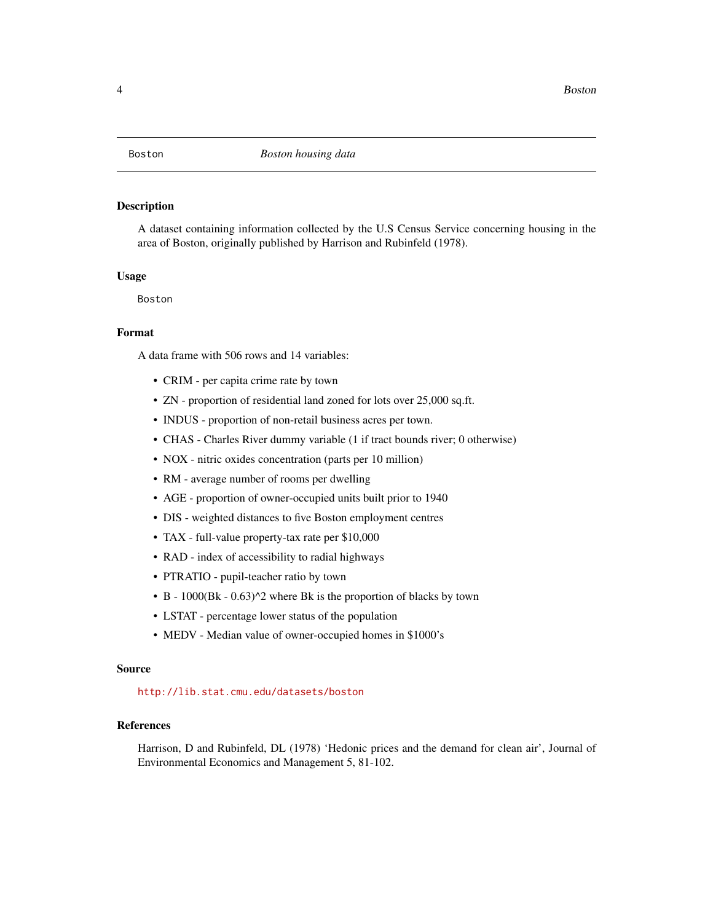<span id="page-3-0"></span>

#### **Description**

A dataset containing information collected by the U.S Census Service concerning housing in the area of Boston, originally published by Harrison and Rubinfeld (1978).

#### Usage

Boston

# Format

A data frame with 506 rows and 14 variables:

- CRIM per capita crime rate by town
- ZN proportion of residential land zoned for lots over 25,000 sq.ft.
- INDUS proportion of non-retail business acres per town.
- CHAS Charles River dummy variable (1 if tract bounds river; 0 otherwise)
- NOX nitric oxides concentration (parts per 10 million)
- RM average number of rooms per dwelling
- AGE proportion of owner-occupied units built prior to 1940
- DIS weighted distances to five Boston employment centres
- TAX full-value property-tax rate per \$10,000
- RAD index of accessibility to radial highways
- PTRATIO pupil-teacher ratio by town
- B 1000(Bk 0.63)^2 where Bk is the proportion of blacks by town
- LSTAT percentage lower status of the population
- MEDV Median value of owner-occupied homes in \$1000's

#### Source

<http://lib.stat.cmu.edu/datasets/boston>

#### References

Harrison, D and Rubinfeld, DL (1978) 'Hedonic prices and the demand for clean air', Journal of Environmental Economics and Management 5, 81-102.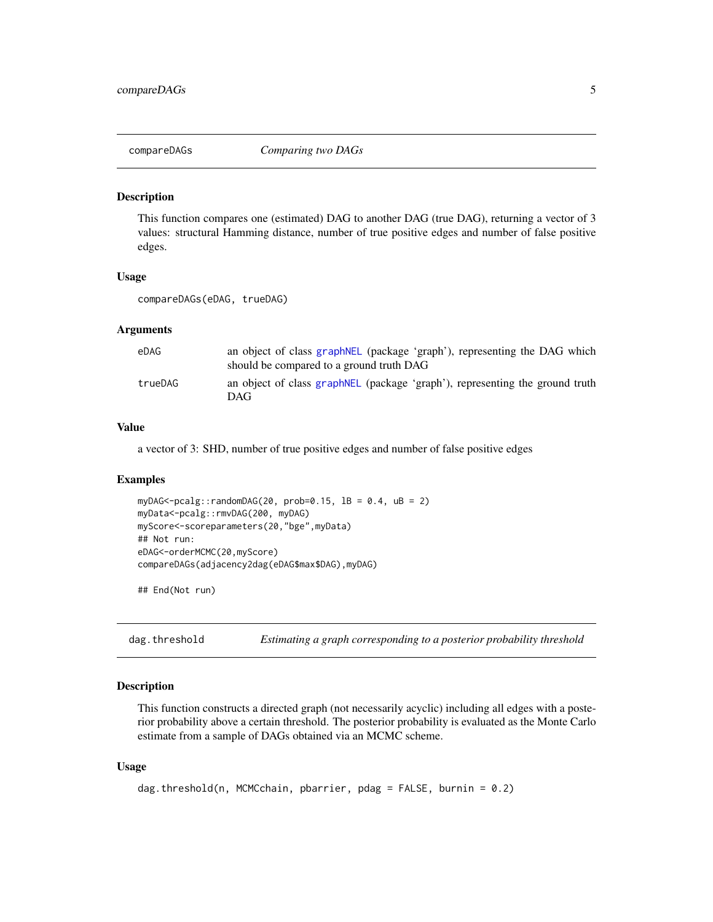<span id="page-4-0"></span>

#### Description

This function compares one (estimated) DAG to another DAG (true DAG), returning a vector of 3 values: structural Hamming distance, number of true positive edges and number of false positive edges.

#### Usage

```
compareDAGs(eDAG, trueDAG)
```
#### Arguments

| eDAG    | an object of class graphNEL (package 'graph'), representing the DAG which<br>should be compared to a ground truth DAG |
|---------|-----------------------------------------------------------------------------------------------------------------------|
| trueDAG | an object of class graphNEL (package 'graph'), representing the ground truth<br>DAG                                   |

#### Value

a vector of 3: SHD, number of true positive edges and number of false positive edges

## Examples

```
myDAG < -pcalg::randomDAG(20, prob=0.15, IB = 0.4, uB = 2)myData<-pcalg::rmvDAG(200, myDAG)
myScore<-scoreparameters(20,"bge",myData)
## Not run:
eDAG<-orderMCMC(20,myScore)
compareDAGs(adjacency2dag(eDAG$max$DAG),myDAG)
```
## End(Not run)

dag.threshold *Estimating a graph corresponding to a posterior probability threshold*

#### Description

This function constructs a directed graph (not necessarily acyclic) including all edges with a posterior probability above a certain threshold. The posterior probability is evaluated as the Monte Carlo estimate from a sample of DAGs obtained via an MCMC scheme.

#### Usage

```
dag.threshold(n, MCMCchain, pbarrier, pdag = FALSE, burnin = 0.2)
```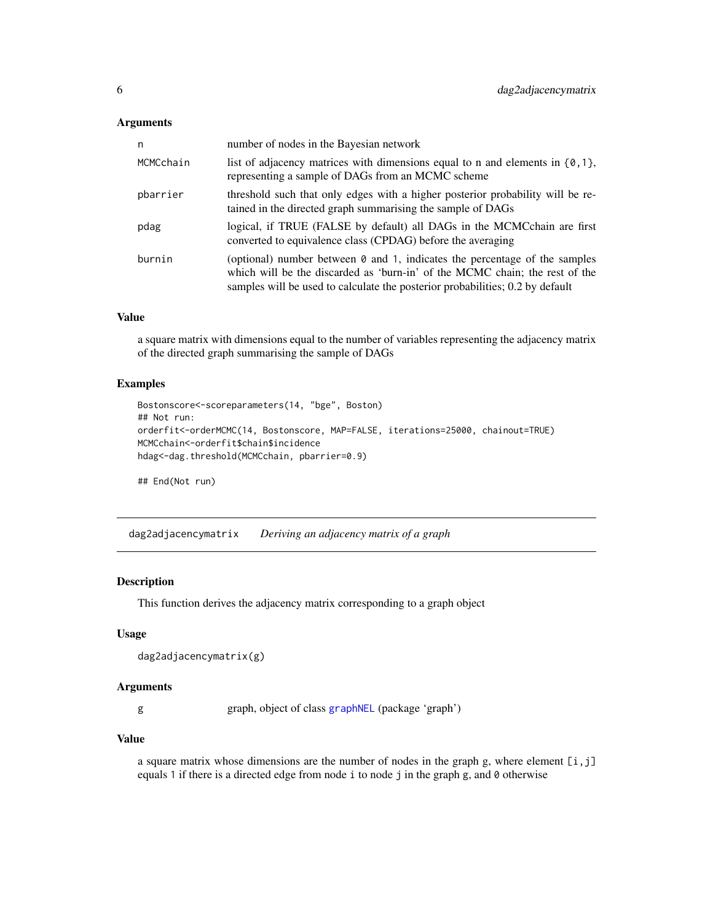#### <span id="page-5-0"></span>Arguments

| n         | number of nodes in the Bayesian network                                                                                                                                                                                                           |
|-----------|---------------------------------------------------------------------------------------------------------------------------------------------------------------------------------------------------------------------------------------------------|
| MCMCchain | list of adjacency matrices with dimensions equal to n and elements in $\{0, 1\}$ ,<br>representing a sample of DAGs from an MCMC scheme                                                                                                           |
| pbarrier  | threshold such that only edges with a higher posterior probability will be re-<br>tained in the directed graph summarising the sample of DAGs                                                                                                     |
| pdag      | logical, if TRUE (FALSE by default) all DAGs in the MCMCchain are first<br>converted to equivalence class (CPDAG) before the averaging                                                                                                            |
| burnin    | (optional) number between $\theta$ and 1, indicates the percentage of the samples<br>which will be the discarded as 'burn-in' of the MCMC chain; the rest of the<br>samples will be used to calculate the posterior probabilities; 0.2 by default |

# Value

a square matrix with dimensions equal to the number of variables representing the adjacency matrix of the directed graph summarising the sample of DAGs

# Examples

```
Bostonscore<-scoreparameters(14, "bge", Boston)
## Not run:
orderfit<-orderMCMC(14, Bostonscore, MAP=FALSE, iterations=25000, chainout=TRUE)
MCMCchain<-orderfit$chain$incidence
hdag<-dag.threshold(MCMCchain, pbarrier=0.9)
```
## End(Not run)

dag2adjacencymatrix *Deriving an adjacency matrix of a graph*

# Description

This function derives the adjacency matrix corresponding to a graph object

### Usage

```
dag2adjacencymatrix(g)
```
#### Arguments

g graph, object of class [graphNEL](#page-0-0) (package 'graph')

# Value

a square matrix whose dimensions are the number of nodes in the graph g, where element  $[i, j]$ equals 1 if there is a directed edge from node i to node j in the graph g, and 0 otherwise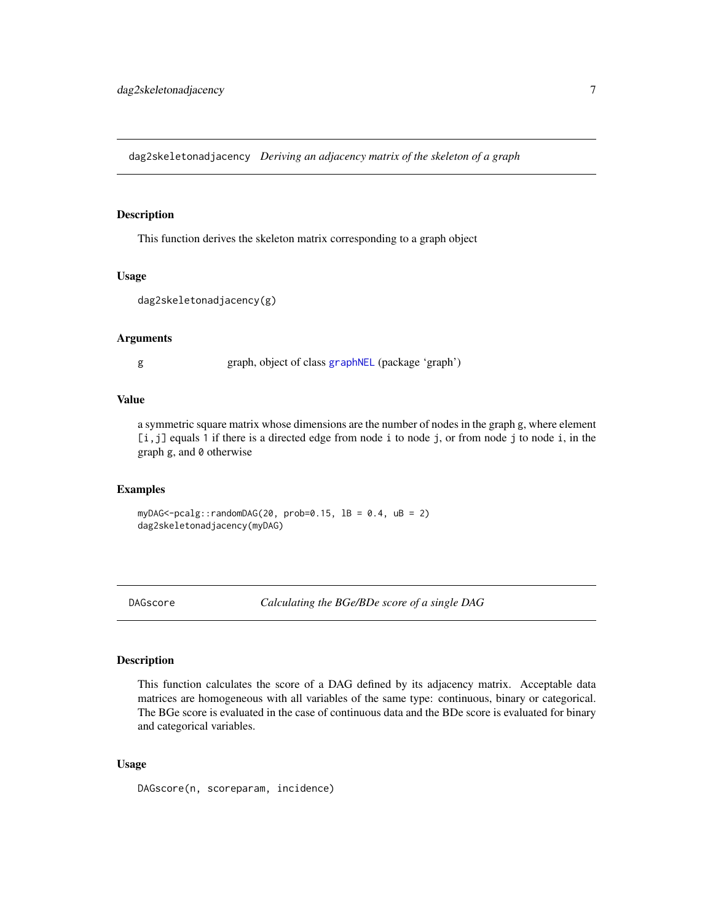<span id="page-6-0"></span>dag2skeletonadjacency *Deriving an adjacency matrix of the skeleton of a graph*

#### Description

This function derives the skeleton matrix corresponding to a graph object

#### Usage

```
dag2skeletonadjacency(g)
```
# Arguments

g graph, object of class [graphNEL](#page-0-0) (package 'graph')

### Value

a symmetric square matrix whose dimensions are the number of nodes in the graph g, where element [i, j] equals 1 if there is a directed edge from node i to node j, or from node j to node i, in the graph g, and 0 otherwise

# Examples

myDAG<-pcalg::randomDAG(20, prob=0.15,  $1B = 0.4$ ,  $uB = 2$ ) dag2skeletonadjacency(myDAG)

DAGscore *Calculating the BGe/BDe score of a single DAG*

# Description

This function calculates the score of a DAG defined by its adjacency matrix. Acceptable data matrices are homogeneous with all variables of the same type: continuous, binary or categorical. The BGe score is evaluated in the case of continuous data and the BDe score is evaluated for binary and categorical variables.

#### Usage

DAGscore(n, scoreparam, incidence)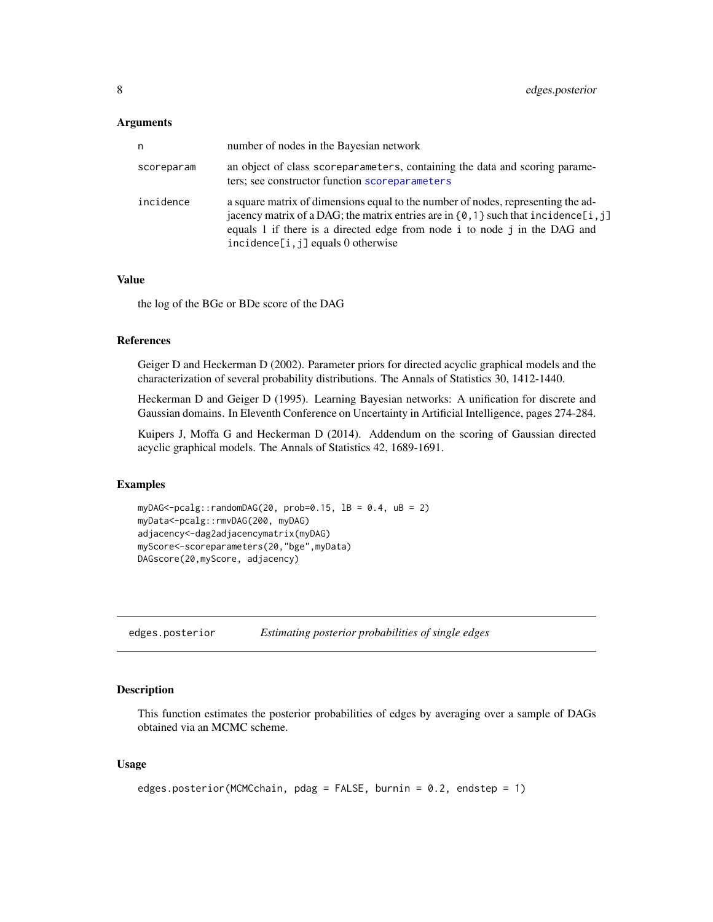#### <span id="page-7-0"></span>**Arguments**

| n          | number of nodes in the Bayesian network                                                                                                                                                                                                                                                         |
|------------|-------------------------------------------------------------------------------------------------------------------------------------------------------------------------------------------------------------------------------------------------------------------------------------------------|
| scoreparam | an object of class scoreparameters, containing the data and scoring parame-<br>ters; see constructor function scoreparameters                                                                                                                                                                   |
| incidence  | a square matrix of dimensions equal to the number of nodes, representing the ad-<br>jacency matrix of a DAG; the matrix entries are in $\{0, 1\}$ such that incidence [i, j]<br>equals 1 if there is a directed edge from node i to node j in the DAG and<br>incidence[i, j] equals 0 otherwise |

#### Value

the log of the BGe or BDe score of the DAG

#### References

Geiger D and Heckerman D (2002). Parameter priors for directed acyclic graphical models and the characterization of several probability distributions. The Annals of Statistics 30, 1412-1440.

Heckerman D and Geiger D (1995). Learning Bayesian networks: A unification for discrete and Gaussian domains. In Eleventh Conference on Uncertainty in Artificial Intelligence, pages 274-284.

Kuipers J, Moffa G and Heckerman D (2014). Addendum on the scoring of Gaussian directed acyclic graphical models. The Annals of Statistics 42, 1689-1691.

#### Examples

```
myDAG<-pcalg::randomDAG(20, prob=0.15, 1B = 0.4, uB = 2)
myData<-pcalg::rmvDAG(200, myDAG)
adjacency<-dag2adjacencymatrix(myDAG)
myScore<-scoreparameters(20,"bge",myData)
DAGscore(20,myScore, adjacency)
```
edges.posterior *Estimating posterior probabilities of single edges*

#### Description

This function estimates the posterior probabilities of edges by averaging over a sample of DAGs obtained via an MCMC scheme.

#### Usage

```
edges.posterior(MCMCchain, pdag = FALSE, burnin = 0.2, endstep = 1)
```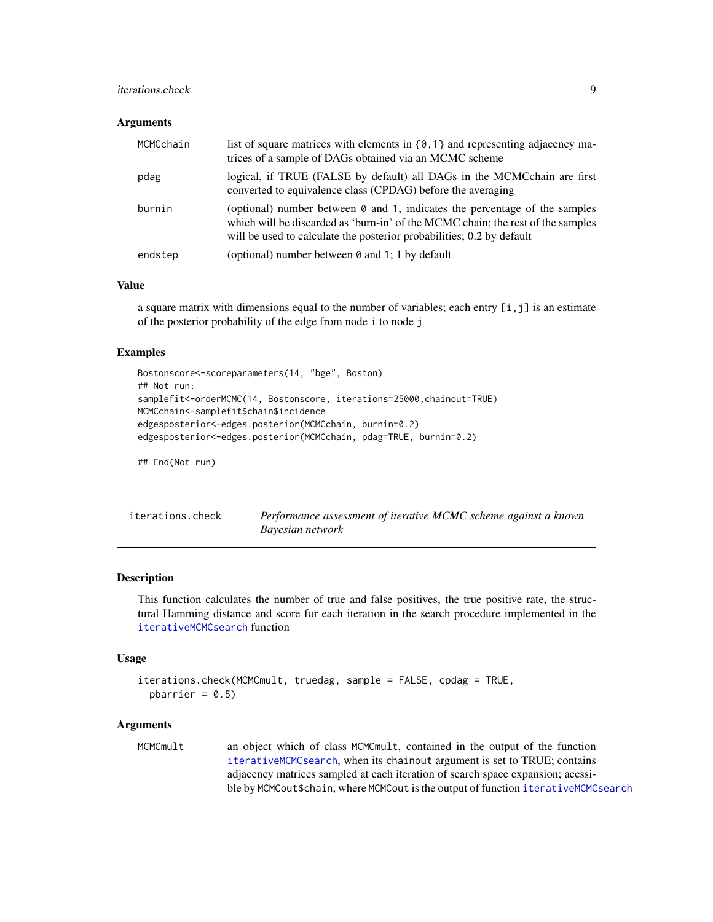# <span id="page-8-0"></span>iterations.check 9

#### **Arguments**

| MCMCchain | list of square matrices with elements in $\{0, 1\}$ and representing adjacency ma-<br>trices of a sample of DAGs obtained via an MCMC scheme                                                                                                  |
|-----------|-----------------------------------------------------------------------------------------------------------------------------------------------------------------------------------------------------------------------------------------------|
| pdag      | logical, if TRUE (FALSE by default) all DAGs in the MCMCchain are first<br>converted to equivalence class (CPDAG) before the averaging                                                                                                        |
| burnin    | (optional) number between $\theta$ and 1, indicates the percentage of the samples<br>which will be discarded as 'burn-in' of the MCMC chain; the rest of the samples<br>will be used to calculate the posterior probabilities; 0.2 by default |
| endstep   | (optional) number between 0 and 1; 1 by default                                                                                                                                                                                               |

#### Value

a square matrix with dimensions equal to the number of variables; each entry  $[i, j]$  is an estimate of the posterior probability of the edge from node i to node j

# Examples

```
Bostonscore<-scoreparameters(14, "bge", Boston)
## Not run:
samplefit<-orderMCMC(14, Bostonscore, iterations=25000,chainout=TRUE)
MCMCchain<-samplefit$chain$incidence
edgesposterior<-edges.posterior(MCMCchain, burnin=0.2)
edgesposterior<-edges.posterior(MCMCchain, pdag=TRUE, burnin=0.2)
```
## End(Not run)

| iterations.check | Performance assessment of iterative MCMC scheme against a known |
|------------------|-----------------------------------------------------------------|
|                  | Bayesian network                                                |

#### Description

This function calculates the number of true and false positives, the true positive rate, the structural Hamming distance and score for each iteration in the search procedure implemented in the [iterativeMCMCsearch](#page-9-1) function

#### Usage

```
iterations.check(MCMCmult, truedag, sample = FALSE, cpdag = TRUE,
 pbarrier = 0.5)
```
#### Arguments

MCMCmult an object which of class MCMCmult, contained in the output of the function [iterativeMCMCsearch](#page-9-1), when its chainout argument is set to TRUE; contains adjacency matrices sampled at each iteration of search space expansion; acessible by MCMCout\$chain, where MCMCout is the output of function [iterativeMCMCsearch](#page-9-1)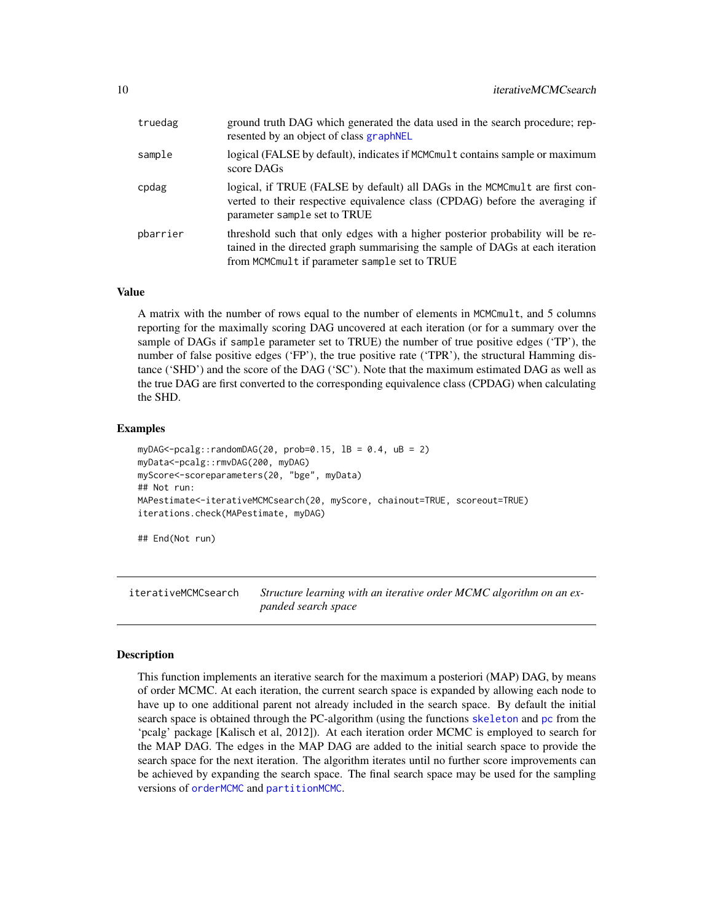<span id="page-9-0"></span>

| truedag  | ground truth DAG which generated the data used in the search procedure; rep-<br>resented by an object of class graphNEL                                                                                          |
|----------|------------------------------------------------------------------------------------------------------------------------------------------------------------------------------------------------------------------|
| sample   | logical (FALSE by default), indicates if MCMCmult contains sample or maximum<br>score DAGs                                                                                                                       |
| cpdag    | logical, if TRUE (FALSE by default) all DAGs in the MCMCmult are first con-<br>verted to their respective equivalence class (CPDAG) before the averaging if<br>parameter sample set to TRUE                      |
| pbarrier | threshold such that only edges with a higher posterior probability will be re-<br>tained in the directed graph summarising the sample of DAGs at each iteration<br>from MCMCmult if parameter sample set to TRUE |

#### Value

A matrix with the number of rows equal to the number of elements in MCMCmult, and 5 columns reporting for the maximally scoring DAG uncovered at each iteration (or for a summary over the sample of DAGs if sample parameter set to TRUE) the number of true positive edges ('TP'), the number of false positive edges ('FP'), the true positive rate ('TPR'), the structural Hamming distance ('SHD') and the score of the DAG ('SC'). Note that the maximum estimated DAG as well as the true DAG are first converted to the corresponding equivalence class (CPDAG) when calculating the SHD.

# Examples

```
myDAG<-pcalg::randomDAG(20, prob=0.15, 1B = 0.4, uB = 2)
myData<-pcalg::rmvDAG(200, myDAG)
myScore<-scoreparameters(20, "bge", myData)
## Not run:
MAPestimate<-iterativeMCMCsearch(20, myScore, chainout=TRUE, scoreout=TRUE)
iterations.check(MAPestimate, myDAG)
```
## End(Not run)

<span id="page-9-1"></span>iterativeMCMCsearch *Structure learning with an iterative order MCMC algorithm on an expanded search space*

#### Description

This function implements an iterative search for the maximum a posteriori (MAP) DAG, by means of order MCMC. At each iteration, the current search space is expanded by allowing each node to have up to one additional parent not already included in the search space. By default the initial search space is obtained through the PC-algorithm (using the functions [skeleton](#page-0-0) and [pc](#page-0-0) from the 'pcalg' package [Kalisch et al, 2012]). At each iteration order MCMC is employed to search for the MAP DAG. The edges in the MAP DAG are added to the initial search space to provide the search space for the next iteration. The algorithm iterates until no further score improvements can be achieved by expanding the search space. The final search space may be used for the sampling versions of [orderMCMC](#page-12-1) and [partitionMCMC](#page-15-1).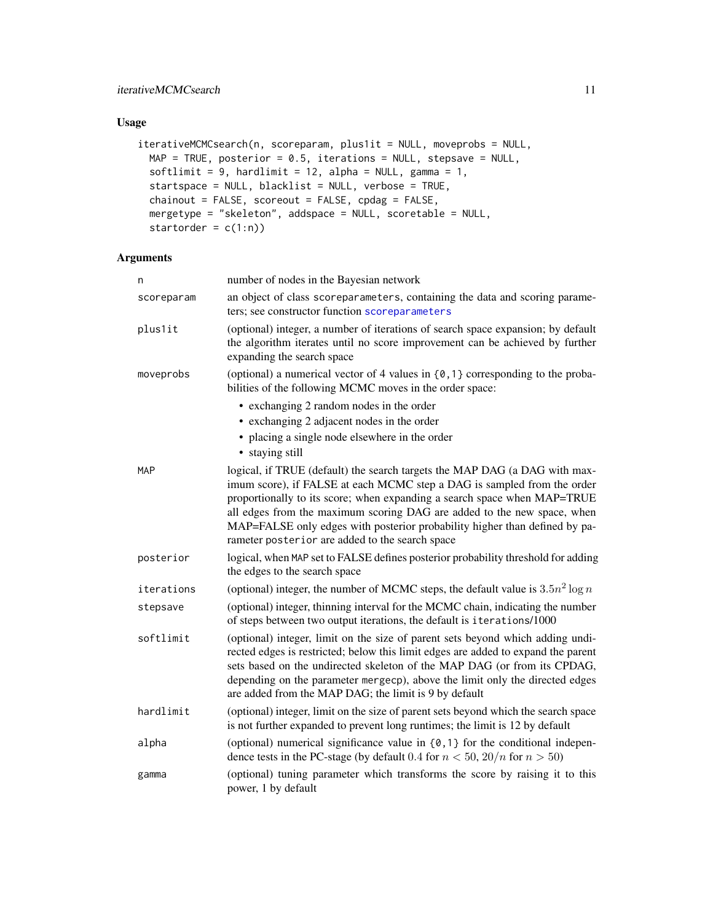# <span id="page-10-0"></span>Usage

```
iterativeMCMCsearch(n, scoreparam, plus1it = NULL, moveprobs = NULL,
 MAP = TRUE, posterior = 0.5, iterations = NULL, stepsave = NULL,
 softlimit = 9, hardlimit = 12, alpha = NULL, gamma = 1,
 startspace = NULL, blacklist = NULL, verbose = TRUE,
 chainout = FALSE, scoreout = FALSE, cpdag = FALSE,
 mergetype = "skeleton", addspace = NULL, scoretable = NULL,
  startorder = c(1:n))
```

| n          | number of nodes in the Bayesian network                                                                                                                                                                                                                                                                                                                                                                                                       |
|------------|-----------------------------------------------------------------------------------------------------------------------------------------------------------------------------------------------------------------------------------------------------------------------------------------------------------------------------------------------------------------------------------------------------------------------------------------------|
| scoreparam | an object of class scoreparameters, containing the data and scoring parame-<br>ters; see constructor function scoreparameters                                                                                                                                                                                                                                                                                                                 |
| plus1it    | (optional) integer, a number of iterations of search space expansion; by default<br>the algorithm iterates until no score improvement can be achieved by further<br>expanding the search space                                                                                                                                                                                                                                                |
| moveprobs  | (optional) a numerical vector of 4 values in $\{0, 1\}$ corresponding to the proba-<br>bilities of the following MCMC moves in the order space:                                                                                                                                                                                                                                                                                               |
|            | • exchanging 2 random nodes in the order                                                                                                                                                                                                                                                                                                                                                                                                      |
|            | • exchanging 2 adjacent nodes in the order                                                                                                                                                                                                                                                                                                                                                                                                    |
|            | • placing a single node elsewhere in the order                                                                                                                                                                                                                                                                                                                                                                                                |
|            | • staying still                                                                                                                                                                                                                                                                                                                                                                                                                               |
| <b>MAP</b> | logical, if TRUE (default) the search targets the MAP DAG (a DAG with max-<br>imum score), if FALSE at each MCMC step a DAG is sampled from the order<br>proportionally to its score; when expanding a search space when MAP=TRUE<br>all edges from the maximum scoring DAG are added to the new space, when<br>MAP=FALSE only edges with posterior probability higher than defined by pa-<br>rameter posterior are added to the search space |
| posterior  | logical, when MAP set to FALSE defines posterior probability threshold for adding<br>the edges to the search space                                                                                                                                                                                                                                                                                                                            |
| iterations | (optional) integer, the number of MCMC steps, the default value is $3.5n^2 \log n$                                                                                                                                                                                                                                                                                                                                                            |
| stepsave   | (optional) integer, thinning interval for the MCMC chain, indicating the number<br>of steps between two output iterations, the default is iterations/1000                                                                                                                                                                                                                                                                                     |
| softlimit  | (optional) integer, limit on the size of parent sets beyond which adding undi-<br>rected edges is restricted; below this limit edges are added to expand the parent<br>sets based on the undirected skeleton of the MAP DAG (or from its CPDAG,<br>depending on the parameter mergecp), above the limit only the directed edges<br>are added from the MAP DAG; the limit is 9 by default                                                      |
| hardlimit  | (optional) integer, limit on the size of parent sets beyond which the search space<br>is not further expanded to prevent long runtimes; the limit is 12 by default                                                                                                                                                                                                                                                                            |
| alpha      | (optional) numerical significance value in $\{0, 1\}$ for the conditional indepen-<br>dence tests in the PC-stage (by default 0.4 for $n < 50$ , $20/n$ for $n > 50$ )                                                                                                                                                                                                                                                                        |
| gamma      | (optional) tuning parameter which transforms the score by raising it to this<br>power, 1 by default                                                                                                                                                                                                                                                                                                                                           |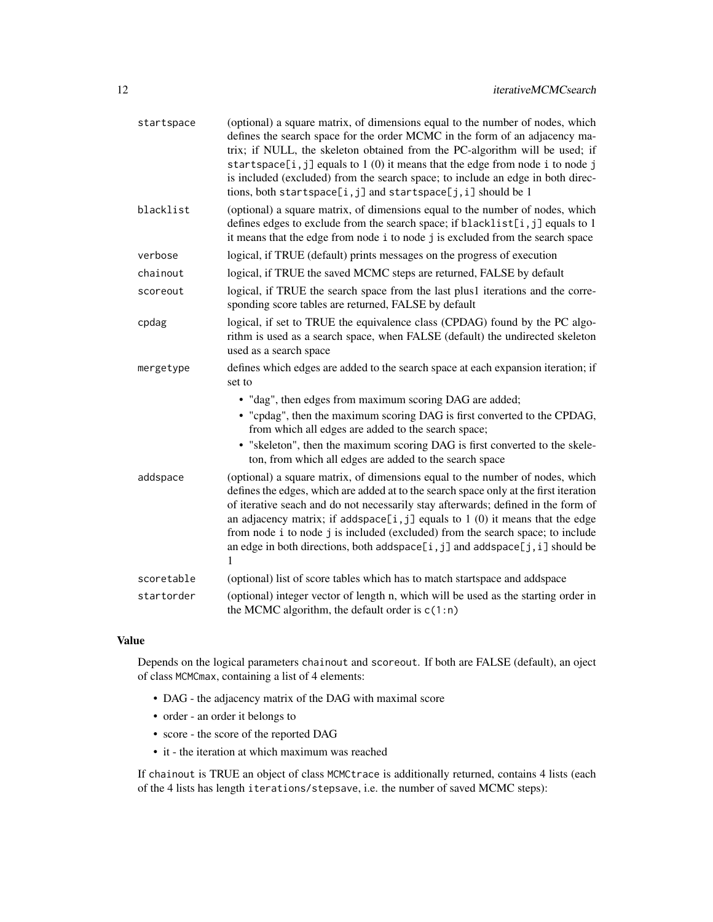| startspace | (optional) a square matrix, of dimensions equal to the number of nodes, which<br>defines the search space for the order MCMC in the form of an adjacency ma-<br>trix; if NULL, the skeleton obtained from the PC-algorithm will be used; if<br>startspace[i,j] equals to 1 (0) it means that the edge from node i to node j<br>is included (excluded) from the search space; to include an edge in both direc-<br>tions, both startspace[i,j] and startspace[j,i] should be 1                                                              |
|------------|--------------------------------------------------------------------------------------------------------------------------------------------------------------------------------------------------------------------------------------------------------------------------------------------------------------------------------------------------------------------------------------------------------------------------------------------------------------------------------------------------------------------------------------------|
| blacklist  | (optional) a square matrix, of dimensions equal to the number of nodes, which<br>defines edges to exclude from the search space; if blacklist[i, j] equals to 1<br>it means that the edge from node i to node j is excluded from the search space                                                                                                                                                                                                                                                                                          |
| verbose    | logical, if TRUE (default) prints messages on the progress of execution                                                                                                                                                                                                                                                                                                                                                                                                                                                                    |
| chainout   | logical, if TRUE the saved MCMC steps are returned, FALSE by default                                                                                                                                                                                                                                                                                                                                                                                                                                                                       |
| scoreout   | logical, if TRUE the search space from the last plus1 iterations and the corre-<br>sponding score tables are returned, FALSE by default                                                                                                                                                                                                                                                                                                                                                                                                    |
| cpdag      | logical, if set to TRUE the equivalence class (CPDAG) found by the PC algo-<br>rithm is used as a search space, when FALSE (default) the undirected skeleton<br>used as a search space                                                                                                                                                                                                                                                                                                                                                     |
| mergetype  | defines which edges are added to the search space at each expansion iteration; if<br>set to                                                                                                                                                                                                                                                                                                                                                                                                                                                |
|            | • "dag", then edges from maximum scoring DAG are added;<br>• "cpdag", then the maximum scoring DAG is first converted to the CPDAG,<br>from which all edges are added to the search space;<br>• "skeleton", then the maximum scoring DAG is first converted to the skele-<br>ton, from which all edges are added to the search space                                                                                                                                                                                                       |
| addspace   | (optional) a square matrix, of dimensions equal to the number of nodes, which<br>defines the edges, which are added at to the search space only at the first iteration<br>of iterative seach and do not necessarily stay afterwards; defined in the form of<br>an adjacency matrix; if addspace[ $i$ , $j$ ] equals to 1 (0) it means that the edge<br>from node i to node j is included (excluded) from the search space; to include<br>an edge in both directions, both addspace [ $i$ , $j$ ] and addspace [ $j$ , $i$ ] should be<br>1 |
| scoretable | (optional) list of score tables which has to match startspace and addspace                                                                                                                                                                                                                                                                                                                                                                                                                                                                 |
| startorder | (optional) integer vector of length n, which will be used as the starting order in<br>the MCMC algorithm, the default order is $c(1:n)$                                                                                                                                                                                                                                                                                                                                                                                                    |

# Value

Depends on the logical parameters chainout and scoreout. If both are FALSE (default), an oject of class MCMCmax, containing a list of 4 elements:

- DAG the adjacency matrix of the DAG with maximal score
- order an order it belongs to
- score the score of the reported DAG
- it the iteration at which maximum was reached

If chainout is TRUE an object of class MCMCtrace is additionally returned, contains 4 lists (each of the 4 lists has length iterations/stepsave, i.e. the number of saved MCMC steps):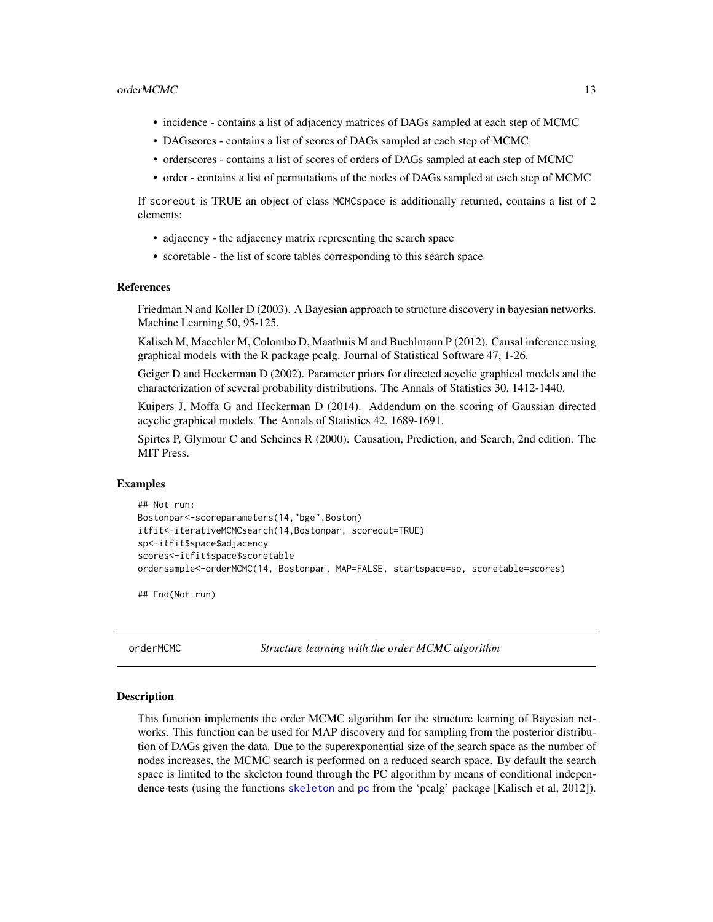- <span id="page-12-0"></span>• incidence - contains a list of adjacency matrices of DAGs sampled at each step of MCMC
- DAGscores contains a list of scores of DAGs sampled at each step of MCMC
- orderscores contains a list of scores of orders of DAGs sampled at each step of MCMC
- order contains a list of permutations of the nodes of DAGs sampled at each step of MCMC

If scoreout is TRUE an object of class MCMCspace is additionally returned, contains a list of 2 elements:

- adjacency the adjacency matrix representing the search space
- scoretable the list of score tables corresponding to this search space

#### References

Friedman N and Koller D (2003). A Bayesian approach to structure discovery in bayesian networks. Machine Learning 50, 95-125.

Kalisch M, Maechler M, Colombo D, Maathuis M and Buehlmann P (2012). Causal inference using graphical models with the R package pcalg. Journal of Statistical Software 47, 1-26.

Geiger D and Heckerman D (2002). Parameter priors for directed acyclic graphical models and the characterization of several probability distributions. The Annals of Statistics 30, 1412-1440.

Kuipers J, Moffa G and Heckerman D (2014). Addendum on the scoring of Gaussian directed acyclic graphical models. The Annals of Statistics 42, 1689-1691.

Spirtes P, Glymour C and Scheines R (2000). Causation, Prediction, and Search, 2nd edition. The MIT Press.

#### Examples

```
## Not run:
Bostonpar<-scoreparameters(14,"bge",Boston)
itfit<-iterativeMCMCsearch(14,Bostonpar, scoreout=TRUE)
sp<-itfit$space$adjacency
scores<-itfit$space$scoretable
ordersample<-orderMCMC(14, Bostonpar, MAP=FALSE, startspace=sp, scoretable=scores)
```
## End(Not run)

<span id="page-12-1"></span>orderMCMC *Structure learning with the order MCMC algorithm*

#### Description

This function implements the order MCMC algorithm for the structure learning of Bayesian networks. This function can be used for MAP discovery and for sampling from the posterior distribution of DAGs given the data. Due to the superexponential size of the search space as the number of nodes increases, the MCMC search is performed on a reduced search space. By default the search space is limited to the skeleton found through the PC algorithm by means of conditional independence tests (using the functions [skeleton](#page-0-0) and [pc](#page-0-0) from the 'pcalg' package [Kalisch et al, 2012]).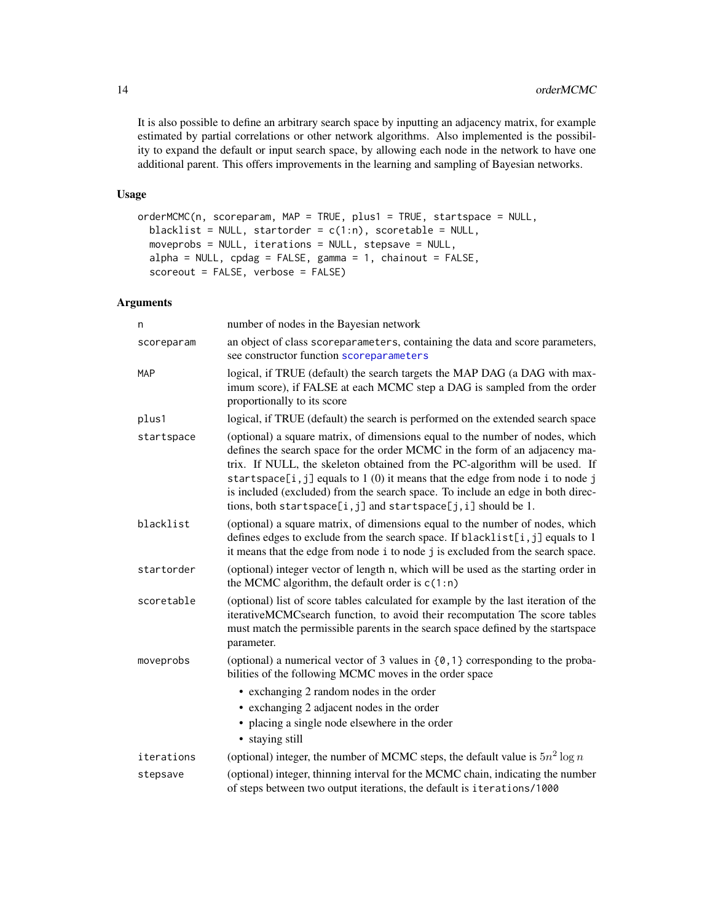It is also possible to define an arbitrary search space by inputting an adjacency matrix, for example estimated by partial correlations or other network algorithms. Also implemented is the possibility to expand the default or input search space, by allowing each node in the network to have one additional parent. This offers improvements in the learning and sampling of Bayesian networks.

# Usage

```
orderMCMC(n, scoreparam, MAP = TRUE, plus1 = TRUE, startspace = NULL,
 blacklist = NULL, startorder = c(1:n), scoretable = NULL,
 moveprobs = NULL, iterations = NULL, stepsave = NULL,
 alpha = NULL, cpdag = FALSE, gamma = 1, chainout = FALSE,
  scoreout = FALSE, verbose = FALSE)
```

| n          | number of nodes in the Bayesian network                                                                                                                                                                                                                                                                                                                                                                                                                                                |
|------------|----------------------------------------------------------------------------------------------------------------------------------------------------------------------------------------------------------------------------------------------------------------------------------------------------------------------------------------------------------------------------------------------------------------------------------------------------------------------------------------|
| scoreparam | an object of class scoreparameters, containing the data and score parameters,<br>see constructor function scoreparameters                                                                                                                                                                                                                                                                                                                                                              |
| <b>MAP</b> | logical, if TRUE (default) the search targets the MAP DAG (a DAG with max-<br>imum score), if FALSE at each MCMC step a DAG is sampled from the order<br>proportionally to its score                                                                                                                                                                                                                                                                                                   |
| plus1      | logical, if TRUE (default) the search is performed on the extended search space                                                                                                                                                                                                                                                                                                                                                                                                        |
| startspace | (optional) a square matrix, of dimensions equal to the number of nodes, which<br>defines the search space for the order MCMC in the form of an adjacency ma-<br>trix. If NULL, the skeleton obtained from the PC-algorithm will be used. If<br>startspace[ $i$ , $j$ ] equals to 1 (0) it means that the edge from node i to node j<br>is included (excluded) from the search space. To include an edge in both direc-<br>tions, both startspace[i,j] and startspace[j,i] should be 1. |
| blacklist  | (optional) a square matrix, of dimensions equal to the number of nodes, which<br>defines edges to exclude from the search space. If blacklist[i, j] equals to 1<br>it means that the edge from node i to node j is excluded from the search space.                                                                                                                                                                                                                                     |
| startorder | (optional) integer vector of length n, which will be used as the starting order in<br>the MCMC algorithm, the default order is $c(1:n)$                                                                                                                                                                                                                                                                                                                                                |
| scoretable | (optional) list of score tables calculated for example by the last iteration of the<br>iterativeMCMCsearch function, to avoid their recomputation The score tables<br>must match the permissible parents in the search space defined by the startspace<br>parameter.                                                                                                                                                                                                                   |
| moveprobs  | (optional) a numerical vector of 3 values in $\{0, 1\}$ corresponding to the proba-<br>bilities of the following MCMC moves in the order space                                                                                                                                                                                                                                                                                                                                         |
|            | • exchanging 2 random nodes in the order                                                                                                                                                                                                                                                                                                                                                                                                                                               |
|            | • exchanging 2 adjacent nodes in the order                                                                                                                                                                                                                                                                                                                                                                                                                                             |
|            | • placing a single node elsewhere in the order<br>• staying still                                                                                                                                                                                                                                                                                                                                                                                                                      |
| iterations | (optional) integer, the number of MCMC steps, the default value is $5n^2 \log n$                                                                                                                                                                                                                                                                                                                                                                                                       |
| stepsave   | (optional) integer, thinning interval for the MCMC chain, indicating the number<br>of steps between two output iterations, the default is iterations/1000                                                                                                                                                                                                                                                                                                                              |

<span id="page-13-0"></span>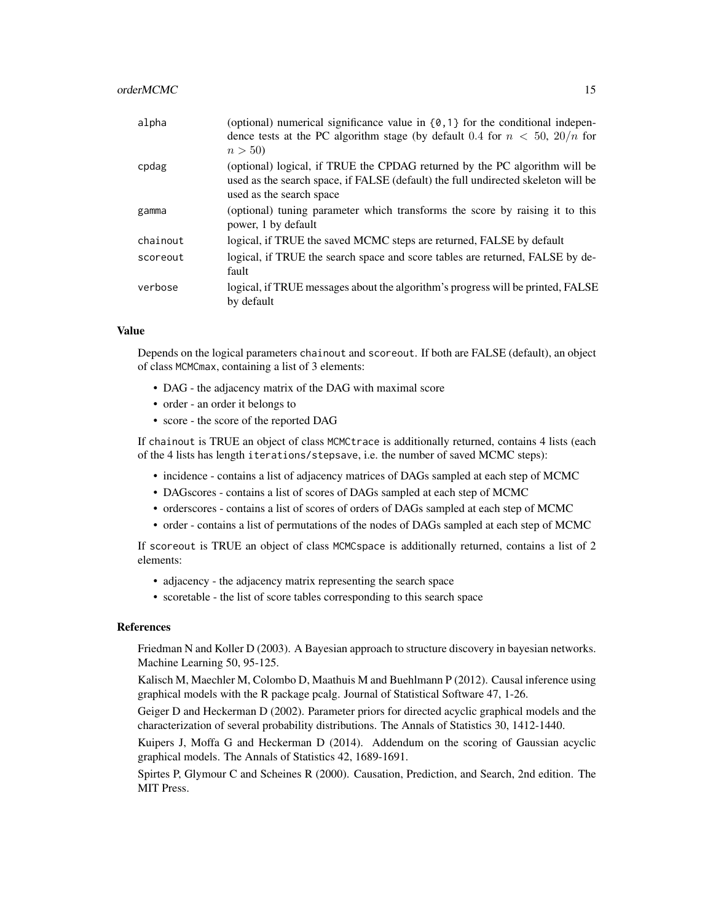#### $\alpha$ orderMCMC  $\alpha$  15

| alpha    | (optional) numerical significance value in $\{0, 1\}$ for the conditional indepen-<br>dence tests at the PC algorithm stage (by default 0.4 for $n < 50$ , $20/n$ for<br>n > 50             |
|----------|---------------------------------------------------------------------------------------------------------------------------------------------------------------------------------------------|
| cpdag    | (optional) logical, if TRUE the CPDAG returned by the PC algorithm will be<br>used as the search space, if FALSE (default) the full undirected skeleton will be<br>used as the search space |
| gamma    | (optional) tuning parameter which transforms the score by raising it to this<br>power, 1 by default                                                                                         |
| chainout | logical, if TRUE the saved MCMC steps are returned, FALSE by default                                                                                                                        |
| scoreout | logical, if TRUE the search space and score tables are returned, FALSE by de-<br>fault                                                                                                      |
| verbose  | logical, if TRUE messages about the algorithm's progress will be printed, FALSE<br>by default                                                                                               |

#### Value

Depends on the logical parameters chainout and scoreout. If both are FALSE (default), an object of class MCMCmax, containing a list of 3 elements:

- DAG the adjacency matrix of the DAG with maximal score
- order an order it belongs to
- score the score of the reported DAG

If chainout is TRUE an object of class MCMCtrace is additionally returned, contains 4 lists (each of the 4 lists has length iterations/stepsave, i.e. the number of saved MCMC steps):

- incidence contains a list of adjacency matrices of DAGs sampled at each step of MCMC
- DAGscores contains a list of scores of DAGs sampled at each step of MCMC
- orderscores contains a list of scores of orders of DAGs sampled at each step of MCMC
- order contains a list of permutations of the nodes of DAGs sampled at each step of MCMC

If scoreout is TRUE an object of class MCMCspace is additionally returned, contains a list of 2 elements:

- adjacency the adjacency matrix representing the search space
- scoretable the list of score tables corresponding to this search space

#### References

Friedman N and Koller D (2003). A Bayesian approach to structure discovery in bayesian networks. Machine Learning 50, 95-125.

Kalisch M, Maechler M, Colombo D, Maathuis M and Buehlmann P (2012). Causal inference using graphical models with the R package pcalg. Journal of Statistical Software 47, 1-26.

Geiger D and Heckerman D (2002). Parameter priors for directed acyclic graphical models and the characterization of several probability distributions. The Annals of Statistics 30, 1412-1440.

Kuipers J, Moffa G and Heckerman D (2014). Addendum on the scoring of Gaussian acyclic graphical models. The Annals of Statistics 42, 1689-1691.

Spirtes P, Glymour C and Scheines R (2000). Causation, Prediction, and Search, 2nd edition. The MIT Press.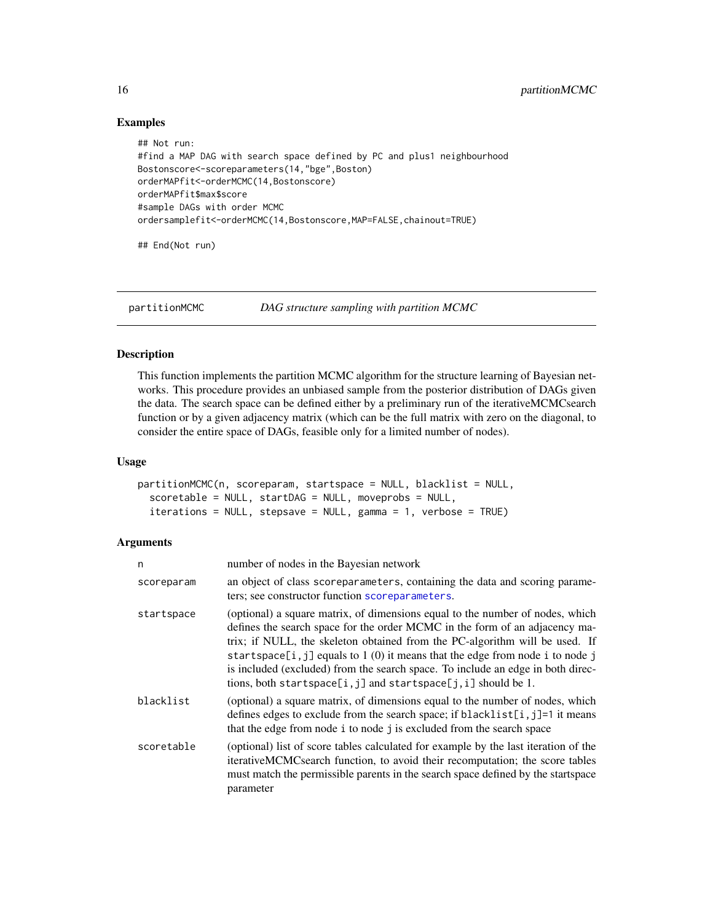## Examples

```
## Not run:
#find a MAP DAG with search space defined by PC and plus1 neighbourhood
Bostonscore<-scoreparameters(14,"bge",Boston)
orderMAPfit<-orderMCMC(14,Bostonscore)
orderMAPfit$max$score
#sample DAGs with order MCMC
ordersamplefit<-orderMCMC(14,Bostonscore,MAP=FALSE,chainout=TRUE)
```
## End(Not run)

<span id="page-15-1"></span>partitionMCMC *DAG structure sampling with partition MCMC*

# Description

This function implements the partition MCMC algorithm for the structure learning of Bayesian networks. This procedure provides an unbiased sample from the posterior distribution of DAGs given the data. The search space can be defined either by a preliminary run of the iterativeMCMCsearch function or by a given adjacency matrix (which can be the full matrix with zero on the diagonal, to consider the entire space of DAGs, feasible only for a limited number of nodes).

#### Usage

```
partitionMCMC(n, scoreparam, startspace = NULL, blacklist = NULL,
  scoretable = NULL, startDAG = NULL, moveprobs = NULL,
  iterations = NULL, stepsave = NULL, gamma = 1, verbose = TRUE)
```

| n          | number of nodes in the Bayesian network                                                                                                                                                                                                                                                                                                                                                                                                                                          |
|------------|----------------------------------------------------------------------------------------------------------------------------------------------------------------------------------------------------------------------------------------------------------------------------------------------------------------------------------------------------------------------------------------------------------------------------------------------------------------------------------|
| scoreparam | an object of class scoreparameters, containing the data and scoring parame-<br>ters; see constructor function scoreparameters.                                                                                                                                                                                                                                                                                                                                                   |
| startspace | (optional) a square matrix, of dimensions equal to the number of nodes, which<br>defines the search space for the order MCMC in the form of an adjacency ma-<br>trix; if NULL, the skeleton obtained from the PC-algorithm will be used. If<br>startspace[i, j] equals to $1(0)$ it means that the edge from node i to node j<br>is included (excluded) from the search space. To include an edge in both direc-<br>tions, both startspace[i,j] and startspace[j,i] should be 1. |
| blacklist  | (optional) a square matrix, of dimensions equal to the number of nodes, which<br>defines edges to exclude from the search space; if blacklist[i, j]=1 it means<br>that the edge from node i to node j is excluded from the search space                                                                                                                                                                                                                                          |
| scoretable | (optional) list of score tables calculated for example by the last iteration of the<br>iterativeMCMCsearch function, to avoid their recomputation; the score tables<br>must match the permissible parents in the search space defined by the startspace<br>parameter                                                                                                                                                                                                             |

<span id="page-15-0"></span>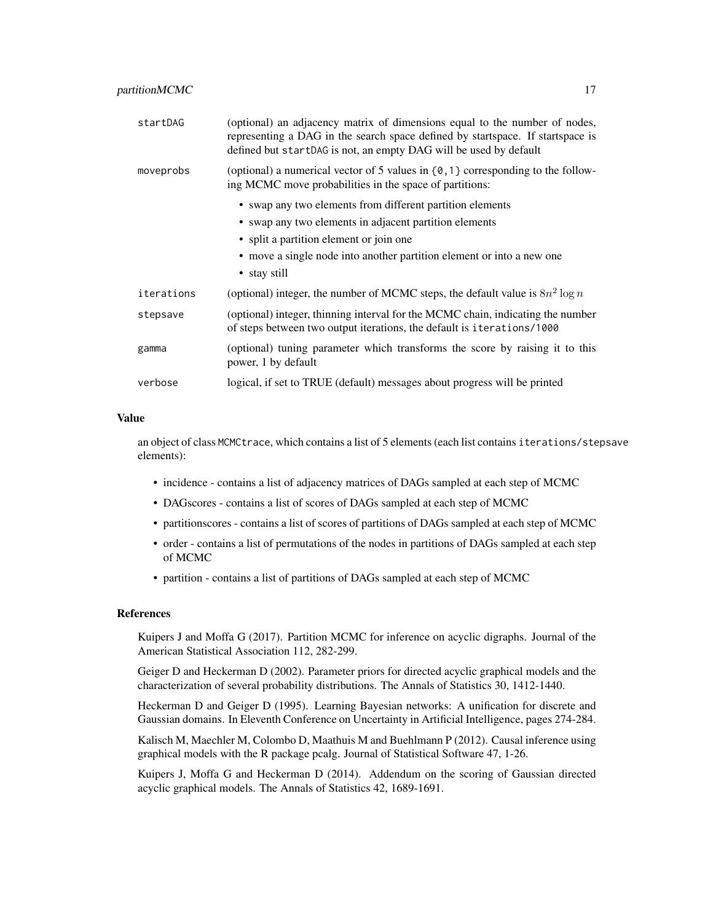| startDAG   | (optional) an adjacency matrix of dimensions equal to the number of nodes,<br>representing a DAG in the search space defined by startspace. If startspace is<br>defined but startDAG is not, an empty DAG will be used by default |
|------------|-----------------------------------------------------------------------------------------------------------------------------------------------------------------------------------------------------------------------------------|
| moveprobs  | (optional) a numerical vector of 5 values in $\{0, 1\}$ corresponding to the follow-<br>ing MCMC move probabilities in the space of partitions:                                                                                   |
|            | • swap any two elements from different partition elements                                                                                                                                                                         |
|            | • swap any two elements in adjacent partition elements                                                                                                                                                                            |
|            | • split a partition element or join one                                                                                                                                                                                           |
|            | • move a single node into another partition element or into a new one                                                                                                                                                             |
|            | • stay still                                                                                                                                                                                                                      |
| iterations | (optional) integer, the number of MCMC steps, the default value is $8n^2 \log n$                                                                                                                                                  |
| stepsave   | (optional) integer, thinning interval for the MCMC chain, indicating the number<br>of steps between two output iterations, the default is iterations/1000                                                                         |
| gamma      | (optional) tuning parameter which transforms the score by raising it to this<br>power, 1 by default                                                                                                                               |
| verbose    | logical, if set to TRUE (default) messages about progress will be printed                                                                                                                                                         |

### Value

an object of class MCMCtrace, which contains a list of 5 elements (each list contains iterations/stepsave elements):

- incidence contains a list of adjacency matrices of DAGs sampled at each step of MCMC
- DAGscores contains a list of scores of DAGs sampled at each step of MCMC
- partitionscores contains a list of scores of partitions of DAGs sampled at each step of MCMC
- order contains a list of permutations of the nodes in partitions of DAGs sampled at each step of MCMC
- partition contains a list of partitions of DAGs sampled at each step of MCMC

# References

Kuipers J and Moffa G (2017). Partition MCMC for inference on acyclic digraphs. Journal of the American Statistical Association 112, 282-299.

Geiger D and Heckerman D (2002). Parameter priors for directed acyclic graphical models and the characterization of several probability distributions. The Annals of Statistics 30, 1412-1440.

Heckerman D and Geiger D (1995). Learning Bayesian networks: A unification for discrete and Gaussian domains. In Eleventh Conference on Uncertainty in Artificial Intelligence, pages 274-284.

Kalisch M, Maechler M, Colombo D, Maathuis M and Buehlmann P (2012). Causal inference using graphical models with the R package pcalg. Journal of Statistical Software 47, 1-26.

Kuipers J, Moffa G and Heckerman D (2014). Addendum on the scoring of Gaussian directed acyclic graphical models. The Annals of Statistics 42, 1689-1691.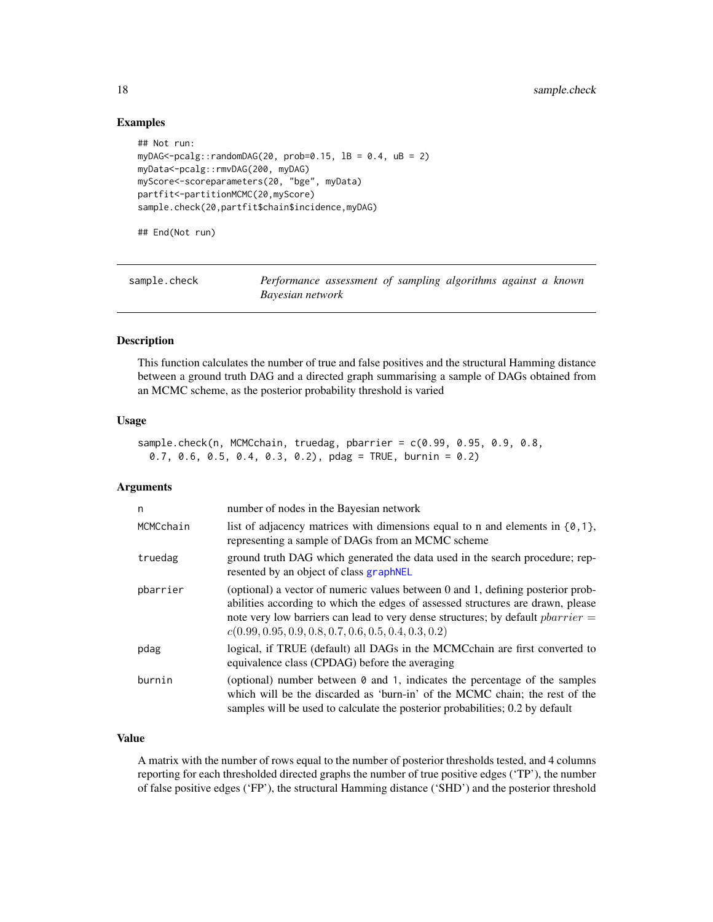# Examples

```
## Not run:
myDAG<-pcalg::randomDAG(20, prob=0.15, lB = 0.4, uB = 2)
myData<-pcalg::rmvDAG(200, myDAG)
myScore<-scoreparameters(20, "bge", myData)
partfit<-partitionMCMC(20,myScore)
sample.check(20,partfit$chain$incidence,myDAG)
```
## End(Not run)

sample.check *Performance assessment of sampling algorithms against a known Bayesian network*

#### Description

This function calculates the number of true and false positives and the structural Hamming distance between a ground truth DAG and a directed graph summarising a sample of DAGs obtained from an MCMC scheme, as the posterior probability threshold is varied

#### Usage

```
sample.check(n, MCMCchain, truedag, pbarrier = c(0.99, 0.95, 0.9, 0.8,
 0.7, 0.6, 0.5, 0.4, 0.3, 0.2), pdag = TRUE, burnin = 0.2)
```
#### Arguments

| n         | number of nodes in the Bayesian network                                                                                                                                                                                                                                                                                 |
|-----------|-------------------------------------------------------------------------------------------------------------------------------------------------------------------------------------------------------------------------------------------------------------------------------------------------------------------------|
| MCMCchain | list of adjacency matrices with dimensions equal to n and elements in $\{0, 1\}$ ,<br>representing a sample of DAGs from an MCMC scheme                                                                                                                                                                                 |
| truedag   | ground truth DAG which generated the data used in the search procedure; rep-<br>resented by an object of class graph NEL                                                                                                                                                                                                |
| pbarrier  | (optional) a vector of numeric values between 0 and 1, defining posterior prob-<br>abilities according to which the edges of assessed structures are drawn, please<br>note very low barriers can lead to very dense structures; by default <i>pbarrier</i> =<br>$c(0.99, 0.95, 0.9, 0.8, 0.7, 0.6, 0.5, 0.4, 0.3, 0.2)$ |
| pdag      | logical, if TRUE (default) all DAGs in the MCMCchain are first converted to<br>equivalence class (CPDAG) before the averaging                                                                                                                                                                                           |
| burnin    | (optional) number between $\theta$ and 1, indicates the percentage of the samples<br>which will be the discarded as 'burn-in' of the MCMC chain; the rest of the<br>samples will be used to calculate the posterior probabilities; 0.2 by default                                                                       |

### Value

A matrix with the number of rows equal to the number of posterior thresholds tested, and 4 columns reporting for each thresholded directed graphs the number of true positive edges ('TP'), the number of false positive edges ('FP'), the structural Hamming distance ('SHD') and the posterior threshold

<span id="page-17-0"></span>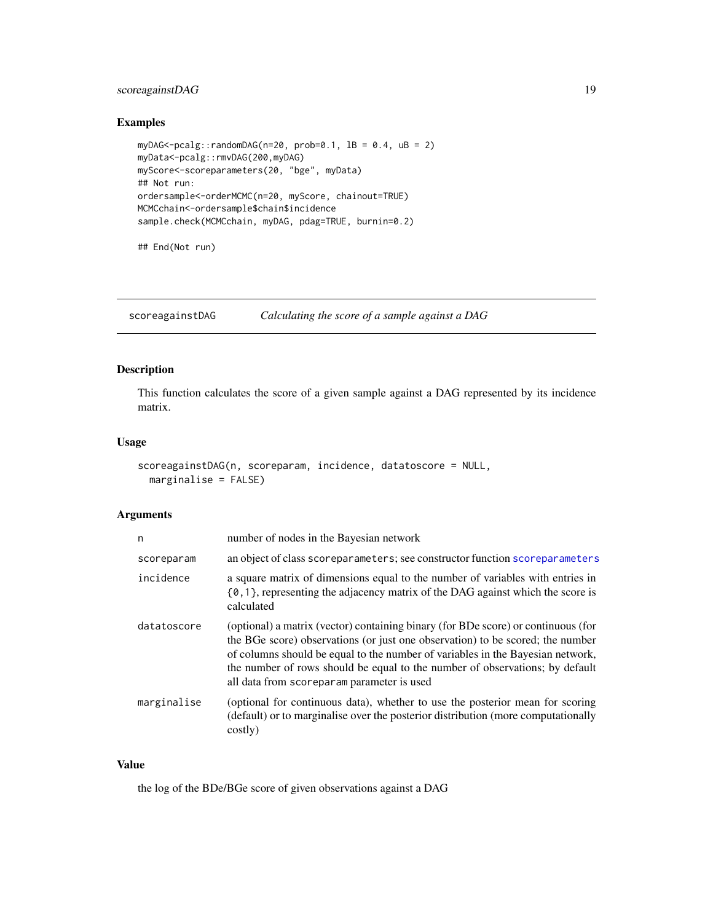# <span id="page-18-0"></span>scoreagainstDAG 19

# Examples

```
myDAG<-pcalg::randomDAG(n=20, prob=0.1, lB = 0.4, uB = 2)
myData<-pcalg::rmvDAG(200,myDAG)
myScore<-scoreparameters(20, "bge", myData)
## Not run:
ordersample<-orderMCMC(n=20, myScore, chainout=TRUE)
MCMCchain<-ordersample$chain$incidence
sample.check(MCMCchain, myDAG, pdag=TRUE, burnin=0.2)
```
## End(Not run)

scoreagainstDAG *Calculating the score of a sample against a DAG*

# Description

This function calculates the score of a given sample against a DAG represented by its incidence matrix.

#### Usage

```
scoreagainstDAG(n, scoreparam, incidence, datatoscore = NULL,
 marginalise = FALSE)
```
#### Arguments

| n           | number of nodes in the Bayesian network                                                                                                                                                                                                                                                                                                                                             |
|-------------|-------------------------------------------------------------------------------------------------------------------------------------------------------------------------------------------------------------------------------------------------------------------------------------------------------------------------------------------------------------------------------------|
| scoreparam  | an object of class scoreparameters; see constructor function scoreparameters                                                                                                                                                                                                                                                                                                        |
| incidence   | a square matrix of dimensions equal to the number of variables with entries in<br>$\{0, 1\}$ , representing the adjacency matrix of the DAG against which the score is<br>calculated                                                                                                                                                                                                |
| datatoscore | (optional) a matrix (vector) containing binary (for BDe score) or continuous (for<br>the BGe score) observations (or just one observation) to be scored; the number<br>of columns should be equal to the number of variables in the Bayesian network,<br>the number of rows should be equal to the number of observations; by default<br>all data from scoreparam parameter is used |
| marginalise | (optional for continuous data), whether to use the posterior mean for scoring<br>(default) or to marginalise over the posterior distribution (more computationally<br>costly)                                                                                                                                                                                                       |

#### Value

the log of the BDe/BGe score of given observations against a DAG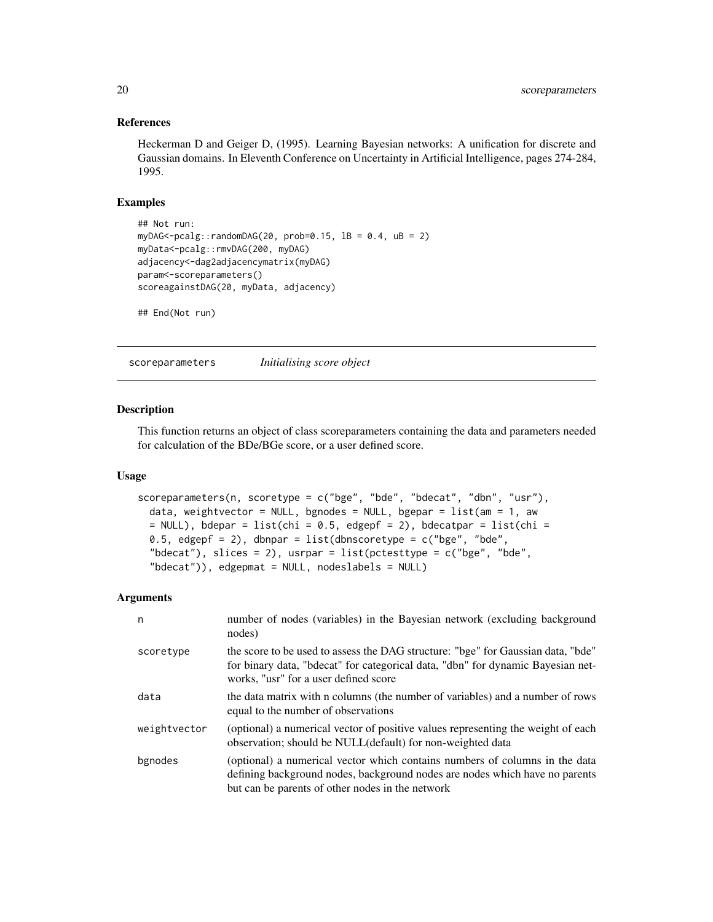#### References

Heckerman D and Geiger D, (1995). Learning Bayesian networks: A unification for discrete and Gaussian domains. In Eleventh Conference on Uncertainty in Artificial Intelligence, pages 274-284, 1995.

#### Examples

```
## Not run:
myDAG<-pcalg::randomDAG(20, prob=0.15, 1B = 0.4, uB = 2)
myData<-pcalg::rmvDAG(200, myDAG)
adjacency<-dag2adjacencymatrix(myDAG)
param<-scoreparameters()
scoreagainstDAG(20, myData, adjacency)
## End(Not run)
```
<span id="page-19-1"></span>scoreparameters *Initialising score object*

# Description

This function returns an object of class scoreparameters containing the data and parameters needed for calculation of the BDe/BGe score, or a user defined score.

#### Usage

```
scoreparameters(n, scoretype = c("bge", "bde", "bdecat", "dbn", "usr"),
  data, weightvector = NULL, bgnodes = NULL, bgepar = list(am = 1, aw)= NULL), bdepar = list(chi = 0.5, edgepf = 2), bdecatpar = list(chi =
  0.5, edgepf = 2), dbnpar = list(dbnscoretype = c("bge", "bde","bdecat"), slices = 2), usrpar = list(pctesttype = c("bge", "bde","bdecat")), edgepmat = NULL, nodeslabels = NULL)
```

| n            | number of nodes (variables) in the Bayesian network (excluding background<br>nodes)                                                                                                                            |
|--------------|----------------------------------------------------------------------------------------------------------------------------------------------------------------------------------------------------------------|
| scoretype    | the score to be used to assess the DAG structure: "bge" for Gaussian data, "bde"<br>for binary data, "bdecat" for categorical data, "dbn" for dynamic Bayesian net-<br>works, "usr" for a user defined score   |
| data         | the data matrix with n columns (the number of variables) and a number of rows<br>equal to the number of observations                                                                                           |
| weightvector | (optional) a numerical vector of positive values representing the weight of each<br>observation; should be NULL(default) for non-weighted data                                                                 |
| bgnodes      | (optional) a numerical vector which contains numbers of columns in the data<br>defining background nodes, background nodes are nodes which have no parents<br>but can be parents of other nodes in the network |

<span id="page-19-0"></span>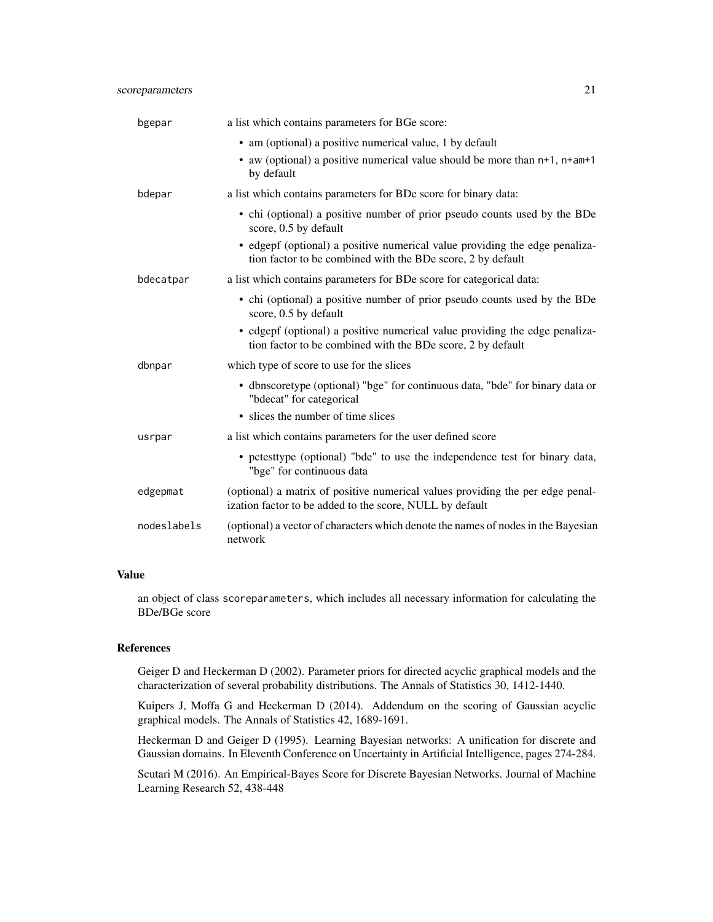# scoreparameters 21

| bgepar      | a list which contains parameters for BGe score:                                                                                            |
|-------------|--------------------------------------------------------------------------------------------------------------------------------------------|
|             | • am (optional) a positive numerical value, 1 by default                                                                                   |
|             | • aw (optional) a positive numerical value should be more than $n+1$ , $n+am+1$<br>by default                                              |
| bdepar      | a list which contains parameters for BDe score for binary data:                                                                            |
|             | • chi (optional) a positive number of prior pseudo counts used by the BDe<br>score, 0.5 by default                                         |
|             | • edgepf (optional) a positive numerical value providing the edge penaliza-<br>tion factor to be combined with the BDe score, 2 by default |
| bdecatpar   | a list which contains parameters for BDe score for categorical data:                                                                       |
|             | • chi (optional) a positive number of prior pseudo counts used by the BDe<br>score, 0.5 by default                                         |
|             | • edgepf (optional) a positive numerical value providing the edge penaliza-<br>tion factor to be combined with the BDe score, 2 by default |
| dbnpar      | which type of score to use for the slices                                                                                                  |
|             | • dbnscoretype (optional) "bge" for continuous data, "bde" for binary data or<br>"bdecat" for categorical                                  |
|             | • slices the number of time slices                                                                                                         |
| usrpar      | a list which contains parameters for the user defined score                                                                                |
|             | • pctesttype (optional) "bde" to use the independence test for binary data,<br>"bge" for continuous data                                   |
| edgepmat    | (optional) a matrix of positive numerical values providing the per edge penal-<br>ization factor to be added to the score, NULL by default |
| nodeslabels | (optional) a vector of characters which denote the names of nodes in the Bayesian<br>network                                               |

# Value

an object of class scoreparameters, which includes all necessary information for calculating the BDe/BGe score

# References

Geiger D and Heckerman D (2002). Parameter priors for directed acyclic graphical models and the characterization of several probability distributions. The Annals of Statistics 30, 1412-1440.

Kuipers J, Moffa G and Heckerman D (2014). Addendum on the scoring of Gaussian acyclic graphical models. The Annals of Statistics 42, 1689-1691.

Heckerman D and Geiger D (1995). Learning Bayesian networks: A unification for discrete and Gaussian domains. In Eleventh Conference on Uncertainty in Artificial Intelligence, pages 274-284.

Scutari M (2016). An Empirical-Bayes Score for Discrete Bayesian Networks. Journal of Machine Learning Research 52, 438-448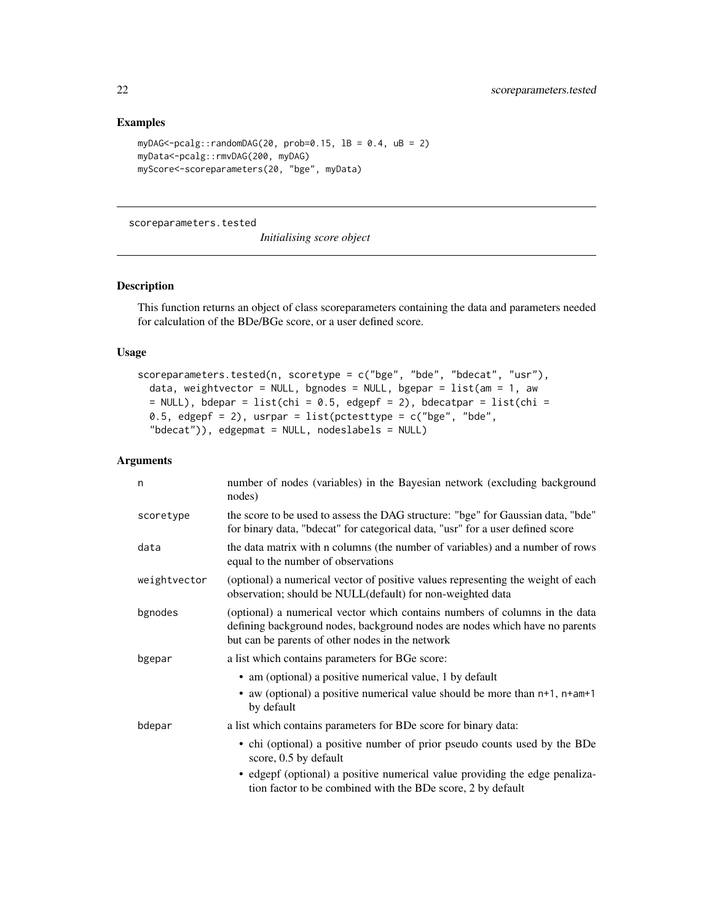# Examples

```
myDAG<-pcalg::randomDAG(20, prob=0.15, 1B = 0.4, uB = 2)
myData<-pcalg::rmvDAG(200, myDAG)
myScore<-scoreparameters(20, "bge", myData)
```
#### scoreparameters.tested

```
Initialising score object
```
#### Description

This function returns an object of class scoreparameters containing the data and parameters needed for calculation of the BDe/BGe score, or a user defined score.

# Usage

```
scoreparameters.tested(n, scoretype = c("bge", "bde", "bdecat", "usr"),
 data, weightvector = NULL, bgnodes = NULL, bgepar = list(am = 1, aw
 = NULL), bdepar = list(chi = 0.5, edgepf = 2), bdecatpar = list(chi =
 0.5, edgepf = 2), usrpar = list(pctesttype = c("bge", "bde","bdecat")), edgepmat = NULL, nodeslabels = NULL)
```

| n            | number of nodes (variables) in the Bayesian network (excluding background<br>nodes)                                                                                                                            |
|--------------|----------------------------------------------------------------------------------------------------------------------------------------------------------------------------------------------------------------|
| scoretype    | the score to be used to assess the DAG structure: "bge" for Gaussian data, "bde"<br>for binary data, "bdecat" for categorical data, "usr" for a user defined score                                             |
| data         | the data matrix with n columns (the number of variables) and a number of rows<br>equal to the number of observations                                                                                           |
| weightvector | (optional) a numerical vector of positive values representing the weight of each<br>observation; should be NULL(default) for non-weighted data                                                                 |
| bgnodes      | (optional) a numerical vector which contains numbers of columns in the data<br>defining background nodes, background nodes are nodes which have no parents<br>but can be parents of other nodes in the network |
| bgepar       | a list which contains parameters for BGe score:                                                                                                                                                                |
|              | • am (optional) a positive numerical value, 1 by default                                                                                                                                                       |
|              | • aw (optional) a positive numerical value should be more than n+1, n+am+1<br>by default                                                                                                                       |
| bdepar       | a list which contains parameters for BDe score for binary data:                                                                                                                                                |
|              | • chi (optional) a positive number of prior pseudo counts used by the BDe<br>score, 0.5 by default                                                                                                             |
|              | • edgepf (optional) a positive numerical value providing the edge penaliza-<br>tion factor to be combined with the BDe score, 2 by default                                                                     |

<span id="page-21-0"></span>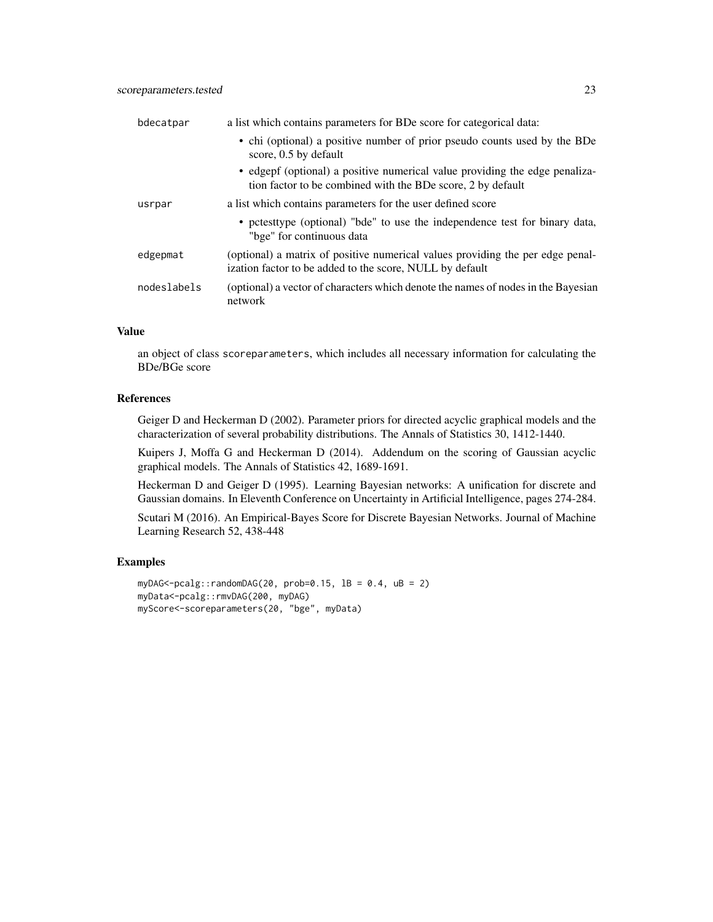| bdecatpar   | a list which contains parameters for BDe score for categorical data:                                                                       |
|-------------|--------------------------------------------------------------------------------------------------------------------------------------------|
|             | • chi (optional) a positive number of prior pseudo counts used by the BDe<br>score, 0.5 by default                                         |
|             | • edgept (optional) a positive numerical value providing the edge penaliza-<br>tion factor to be combined with the BDe score, 2 by default |
| usrpar      | a list which contains parameters for the user defined score                                                                                |
|             | • potesttype (optional) "bde" to use the independence test for binary data,<br>"bge" for continuous data                                   |
| edgepmat    | (optional) a matrix of positive numerical values providing the per edge penal-<br>ization factor to be added to the score, NULL by default |
| nodeslabels | (optional) a vector of characters which denote the names of nodes in the Bayesian<br>network                                               |

#### Value

an object of class scoreparameters, which includes all necessary information for calculating the BDe/BGe score

#### References

Geiger D and Heckerman D (2002). Parameter priors for directed acyclic graphical models and the characterization of several probability distributions. The Annals of Statistics 30, 1412-1440.

Kuipers J, Moffa G and Heckerman D (2014). Addendum on the scoring of Gaussian acyclic graphical models. The Annals of Statistics 42, 1689-1691.

Heckerman D and Geiger D (1995). Learning Bayesian networks: A unification for discrete and Gaussian domains. In Eleventh Conference on Uncertainty in Artificial Intelligence, pages 274-284.

Scutari M (2016). An Empirical-Bayes Score for Discrete Bayesian Networks. Journal of Machine Learning Research 52, 438-448

### Examples

```
myDAG<-pcalg::randomDAG(20, prob=0.15, IB = 0.4, UB = 2)
myData<-pcalg::rmvDAG(200, myDAG)
myScore<-scoreparameters(20, "bge", myData)
```